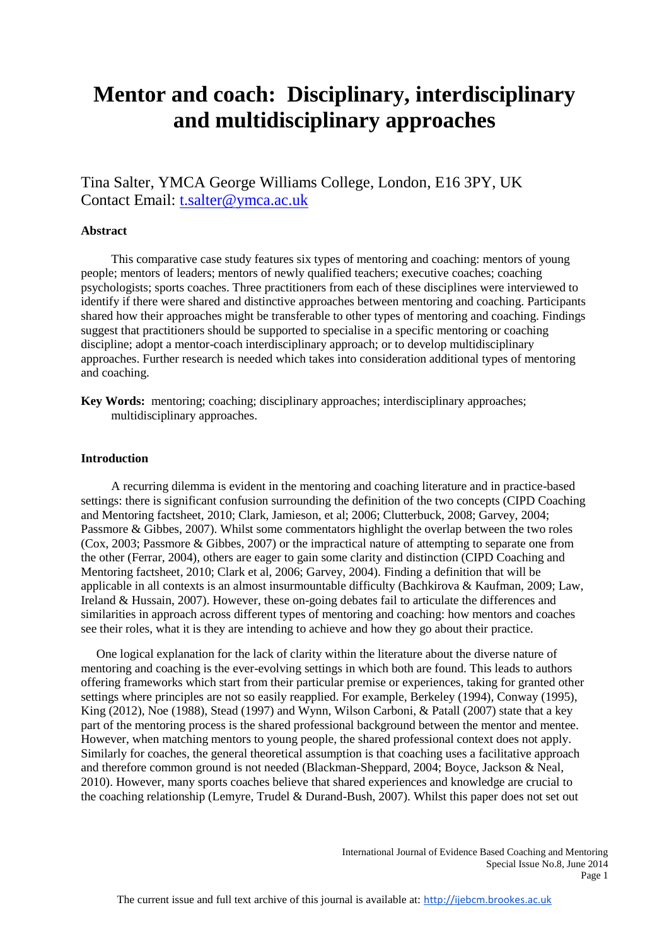# **Mentor and coach: Disciplinary, interdisciplinary and multidisciplinary approaches**

Tina Salter, YMCA George Williams College, London, E16 3PY, UK Contact Email: [t.salter@ymca.ac.uk](mailto:t.salter@ymca.ac.uk)

# **Abstract**

 This comparative case study features six types of mentoring and coaching: mentors of young people; mentors of leaders; mentors of newly qualified teachers; executive coaches; coaching psychologists; sports coaches. Three practitioners from each of these disciplines were interviewed to identify if there were shared and distinctive approaches between mentoring and coaching. Participants shared how their approaches might be transferable to other types of mentoring and coaching. Findings suggest that practitioners should be supported to specialise in a specific mentoring or coaching discipline; adopt a mentor-coach interdisciplinary approach; or to develop multidisciplinary approaches. Further research is needed which takes into consideration additional types of mentoring and coaching.

**Key Words:** mentoring; coaching; disciplinary approaches; interdisciplinary approaches; multidisciplinary approaches.

## **Introduction**

 A recurring dilemma is evident in the mentoring and coaching literature and in practice-based settings: there is significant confusion surrounding the definition of the two concepts (CIPD Coaching and Mentoring factsheet, 2010; Clark, Jamieson, et al; 2006; Clutterbuck, 2008; Garvey, 2004; Passmore & Gibbes, 2007). Whilst some commentators highlight the overlap between the two roles (Cox, 2003; Passmore & Gibbes, 2007) or the impractical nature of attempting to separate one from the other (Ferrar, 2004), others are eager to gain some clarity and distinction (CIPD Coaching and Mentoring factsheet, 2010; Clark et al, 2006; Garvey, 2004). Finding a definition that will be applicable in all contexts is an almost insurmountable difficulty (Bachkirova & Kaufman, 2009; Law, Ireland & Hussain, 2007). However, these on-going debates fail to articulate the differences and similarities in approach across different types of mentoring and coaching: how mentors and coaches see their roles, what it is they are intending to achieve and how they go about their practice.

 One logical explanation for the lack of clarity within the literature about the diverse nature of mentoring and coaching is the ever-evolving settings in which both are found. This leads to authors offering frameworks which start from their particular premise or experiences, taking for granted other settings where principles are not so easily reapplied. For example, Berkeley (1994), Conway (1995), King (2012), Noe (1988), Stead (1997) and Wynn, Wilson Carboni, & Patall (2007) state that a key part of the mentoring process is the shared professional background between the mentor and mentee. However, when matching mentors to young people, the shared professional context does not apply. Similarly for coaches, the general theoretical assumption is that coaching uses a facilitative approach and therefore common ground is not needed (Blackman-Sheppard, 2004; Boyce, Jackson & Neal, 2010). However, many sports coaches believe that shared experiences and knowledge are crucial to the coaching relationship (Lemyre, Trudel & Durand-Bush, 2007). Whilst this paper does not set out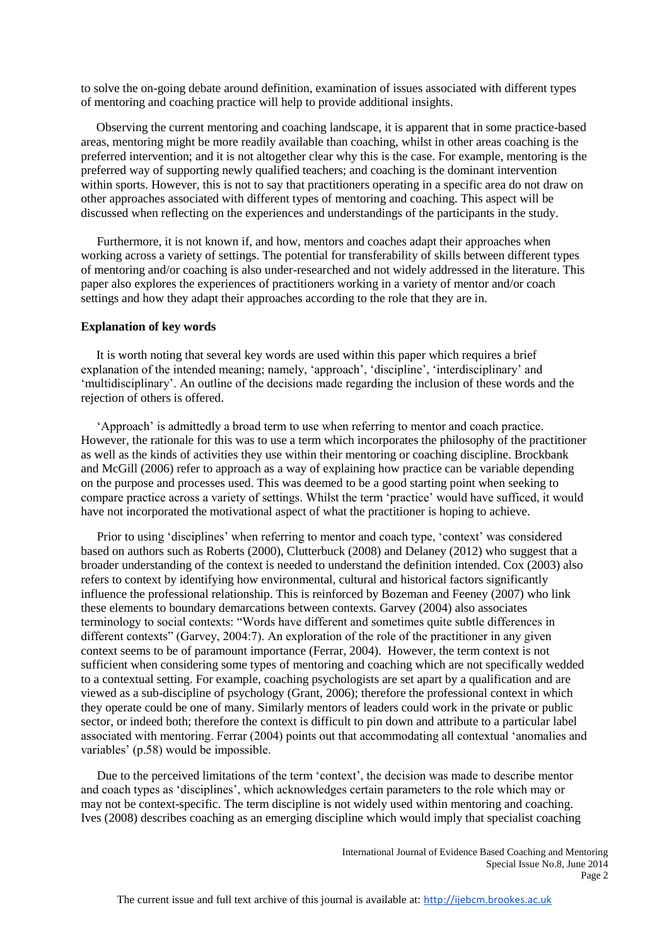to solve the on-going debate around definition, examination of issues associated with different types of mentoring and coaching practice will help to provide additional insights.

 Observing the current mentoring and coaching landscape, it is apparent that in some practice-based areas, mentoring might be more readily available than coaching, whilst in other areas coaching is the preferred intervention; and it is not altogether clear why this is the case. For example, mentoring is the preferred way of supporting newly qualified teachers; and coaching is the dominant intervention within sports. However, this is not to say that practitioners operating in a specific area do not draw on other approaches associated with different types of mentoring and coaching. This aspect will be discussed when reflecting on the experiences and understandings of the participants in the study.

Furthermore, it is not known if, and how, mentors and coaches adapt their approaches when working across a variety of settings. The potential for transferability of skills between different types of mentoring and/or coaching is also under-researched and not widely addressed in the literature. This paper also explores the experiences of practitioners working in a variety of mentor and/or coach settings and how they adapt their approaches according to the role that they are in.

#### **Explanation of key words**

 It is worth noting that several key words are used within this paper which requires a brief explanation of the intended meaning; namely, 'approach', 'discipline', 'interdisciplinary' and 'multidisciplinary'. An outline of the decisions made regarding the inclusion of these words and the rejection of others is offered.

'Approach' is admittedly a broad term to use when referring to mentor and coach practice. However, the rationale for this was to use a term which incorporates the philosophy of the practitioner as well as the kinds of activities they use within their mentoring or coaching discipline. Brockbank and McGill (2006) refer to approach as a way of explaining how practice can be variable depending on the purpose and processes used. This was deemed to be a good starting point when seeking to compare practice across a variety of settings. Whilst the term 'practice' would have sufficed, it would have not incorporated the motivational aspect of what the practitioner is hoping to achieve.

Prior to using 'disciplines' when referring to mentor and coach type, 'context' was considered based on authors such as Roberts (2000), Clutterbuck (2008) and Delaney (2012) who suggest that a broader understanding of the context is needed to understand the definition intended. Cox (2003) also refers to context by identifying how environmental, cultural and historical factors significantly influence the professional relationship. This is reinforced by Bozeman and Feeney (2007) who link these elements to boundary demarcations between contexts. Garvey (2004) also associates terminology to social contexts: "Words have different and sometimes quite subtle differences in different contexts" (Garvey, 2004:7). An exploration of the role of the practitioner in any given context seems to be of paramount importance (Ferrar, 2004). However, the term context is not sufficient when considering some types of mentoring and coaching which are not specifically wedded to a contextual setting. For example, coaching psychologists are set apart by a qualification and are viewed as a sub-discipline of psychology (Grant, 2006); therefore the professional context in which they operate could be one of many. Similarly mentors of leaders could work in the private or public sector, or indeed both; therefore the context is difficult to pin down and attribute to a particular label associated with mentoring. Ferrar (2004) points out that accommodating all contextual 'anomalies and variables' (p.58) would be impossible.

Due to the perceived limitations of the term 'context', the decision was made to describe mentor and coach types as 'disciplines', which acknowledges certain parameters to the role which may or may not be context-specific. The term discipline is not widely used within mentoring and coaching. Ives (2008) describes coaching as an emerging discipline which would imply that specialist coaching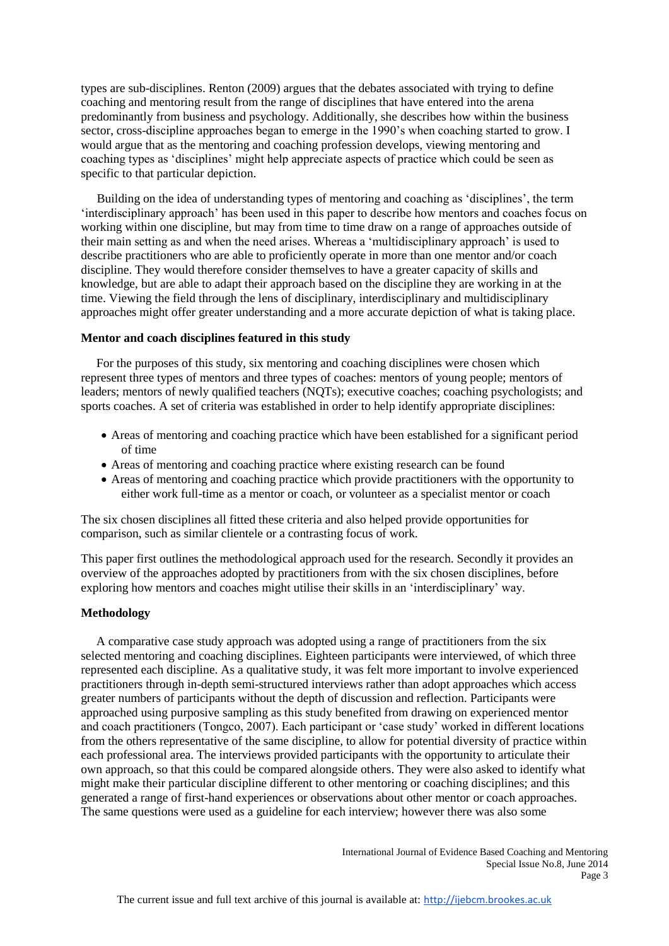types are sub-disciplines. Renton (2009) argues that the debates associated with trying to define coaching and mentoring result from the range of disciplines that have entered into the arena predominantly from business and psychology. Additionally, she describes how within the business sector, cross-discipline approaches began to emerge in the 1990's when coaching started to grow. I would argue that as the mentoring and coaching profession develops, viewing mentoring and coaching types as 'disciplines' might help appreciate aspects of practice which could be seen as specific to that particular depiction.

Building on the idea of understanding types of mentoring and coaching as 'disciplines', the term 'interdisciplinary approach' has been used in this paper to describe how mentors and coaches focus on working within one discipline, but may from time to time draw on a range of approaches outside of their main setting as and when the need arises. Whereas a 'multidisciplinary approach' is used to describe practitioners who are able to proficiently operate in more than one mentor and/or coach discipline. They would therefore consider themselves to have a greater capacity of skills and knowledge, but are able to adapt their approach based on the discipline they are working in at the time. Viewing the field through the lens of disciplinary, interdisciplinary and multidisciplinary approaches might offer greater understanding and a more accurate depiction of what is taking place.

## **Mentor and coach disciplines featured in this study**

 For the purposes of this study, six mentoring and coaching disciplines were chosen which represent three types of mentors and three types of coaches: mentors of young people; mentors of leaders; mentors of newly qualified teachers (NQTs); executive coaches; coaching psychologists; and sports coaches. A set of criteria was established in order to help identify appropriate disciplines:

- Areas of mentoring and coaching practice which have been established for a significant period of time
- Areas of mentoring and coaching practice where existing research can be found
- Areas of mentoring and coaching practice which provide practitioners with the opportunity to either work full-time as a mentor or coach, or volunteer as a specialist mentor or coach

The six chosen disciplines all fitted these criteria and also helped provide opportunities for comparison, such as similar clientele or a contrasting focus of work.

This paper first outlines the methodological approach used for the research. Secondly it provides an overview of the approaches adopted by practitioners from with the six chosen disciplines, before exploring how mentors and coaches might utilise their skills in an 'interdisciplinary' way.

# **Methodology**

 A comparative case study approach was adopted using a range of practitioners from the six selected mentoring and coaching disciplines. Eighteen participants were interviewed, of which three represented each discipline. As a qualitative study, it was felt more important to involve experienced practitioners through in-depth semi-structured interviews rather than adopt approaches which access greater numbers of participants without the depth of discussion and reflection. Participants were approached using purposive sampling as this study benefited from drawing on experienced mentor and coach practitioners (Tongco, 2007). Each participant or 'case study' worked in different locations from the others representative of the same discipline, to allow for potential diversity of practice within each professional area. The interviews provided participants with the opportunity to articulate their own approach, so that this could be compared alongside others. They were also asked to identify what might make their particular discipline different to other mentoring or coaching disciplines; and this generated a range of first-hand experiences or observations about other mentor or coach approaches. The same questions were used as a guideline for each interview; however there was also some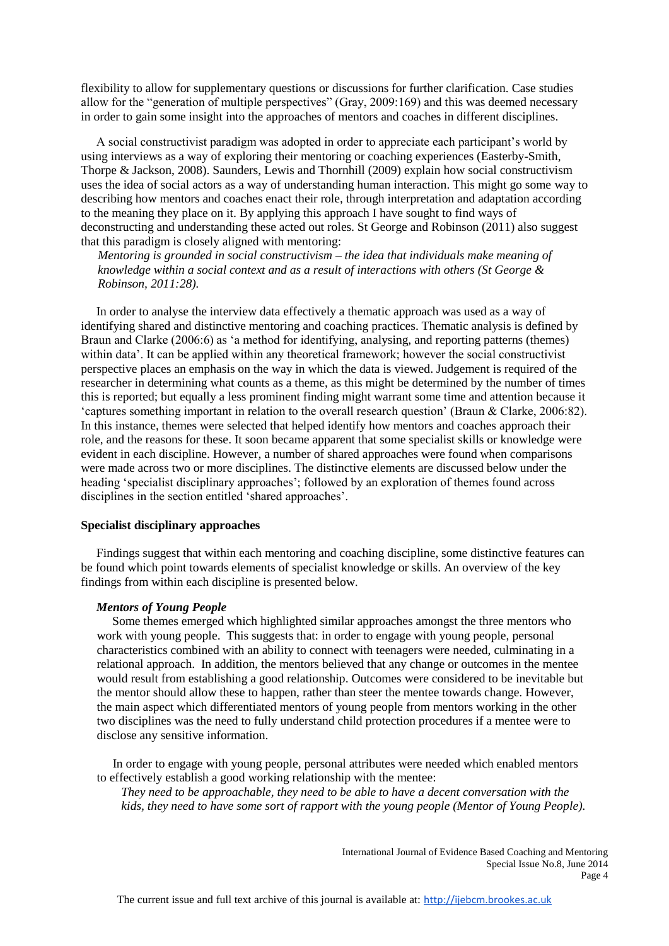flexibility to allow for supplementary questions or discussions for further clarification. Case studies allow for the "generation of multiple perspectives" (Gray, 2009:169) and this was deemed necessary in order to gain some insight into the approaches of mentors and coaches in different disciplines.

 A social constructivist paradigm was adopted in order to appreciate each participant's world by using interviews as a way of exploring their mentoring or coaching experiences (Easterby-Smith, Thorpe & Jackson, 2008). Saunders, Lewis and Thornhill (2009) explain how social constructivism uses the idea of social actors as a way of understanding human interaction. This might go some way to describing how mentors and coaches enact their role, through interpretation and adaptation according to the meaning they place on it. By applying this approach I have sought to find ways of deconstructing and understanding these acted out roles. St George and Robinson (2011) also suggest that this paradigm is closely aligned with mentoring:

*Mentoring is grounded in social constructivism – the idea that individuals make meaning of knowledge within a social context and as a result of interactions with others (St George & Robinson, 2011:28).*

 In order to analyse the interview data effectively a thematic approach was used as a way of identifying shared and distinctive mentoring and coaching practices. Thematic analysis is defined by Braun and Clarke (2006:6) as 'a method for identifying, analysing, and reporting patterns (themes) within data'. It can be applied within any theoretical framework; however the social constructivist perspective places an emphasis on the way in which the data is viewed. Judgement is required of the researcher in determining what counts as a theme, as this might be determined by the number of times this is reported; but equally a less prominent finding might warrant some time and attention because it 'captures something important in relation to the overall research question' (Braun & Clarke, 2006:82). In this instance, themes were selected that helped identify how mentors and coaches approach their role, and the reasons for these. It soon became apparent that some specialist skills or knowledge were evident in each discipline. However, a number of shared approaches were found when comparisons were made across two or more disciplines. The distinctive elements are discussed below under the heading 'specialist disciplinary approaches'; followed by an exploration of themes found across disciplines in the section entitled 'shared approaches'.

## **Specialist disciplinary approaches**

 Findings suggest that within each mentoring and coaching discipline, some distinctive features can be found which point towards elements of specialist knowledge or skills. An overview of the key findings from within each discipline is presented below.

# *Mentors of Young People*

 Some themes emerged which highlighted similar approaches amongst the three mentors who work with young people. This suggests that: in order to engage with young people, personal characteristics combined with an ability to connect with teenagers were needed, culminating in a relational approach. In addition, the mentors believed that any change or outcomes in the mentee would result from establishing a good relationship. Outcomes were considered to be inevitable but the mentor should allow these to happen, rather than steer the mentee towards change. However, the main aspect which differentiated mentors of young people from mentors working in the other two disciplines was the need to fully understand child protection procedures if a mentee were to disclose any sensitive information.

In order to engage with young people, personal attributes were needed which enabled mentors to effectively establish a good working relationship with the mentee:

*They need to be approachable, they need to be able to have a decent conversation with the kids, they need to have some sort of rapport with the young people (Mentor of Young People).*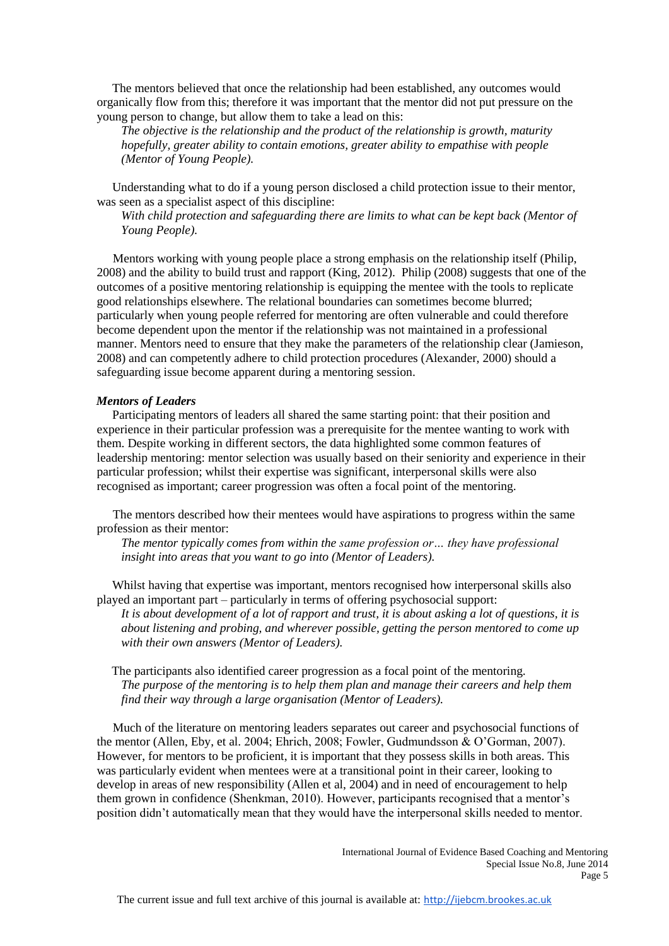The mentors believed that once the relationship had been established, any outcomes would organically flow from this; therefore it was important that the mentor did not put pressure on the young person to change, but allow them to take a lead on this:

*The objective is the relationship and the product of the relationship is growth, maturity hopefully, greater ability to contain emotions, greater ability to empathise with people (Mentor of Young People).*

 Understanding what to do if a young person disclosed a child protection issue to their mentor, was seen as a specialist aspect of this discipline:

*With child protection and safeguarding there are limits to what can be kept back (Mentor of Young People).*

Mentors working with young people place a strong emphasis on the relationship itself (Philip, 2008) and the ability to build trust and rapport (King, 2012). Philip (2008) suggests that one of the outcomes of a positive mentoring relationship is equipping the mentee with the tools to replicate good relationships elsewhere. The relational boundaries can sometimes become blurred; particularly when young people referred for mentoring are often vulnerable and could therefore become dependent upon the mentor if the relationship was not maintained in a professional manner. Mentors need to ensure that they make the parameters of the relationship clear (Jamieson, 2008) and can competently adhere to child protection procedures (Alexander, 2000) should a safeguarding issue become apparent during a mentoring session.

#### *Mentors of Leaders*

 Participating mentors of leaders all shared the same starting point: that their position and experience in their particular profession was a prerequisite for the mentee wanting to work with them. Despite working in different sectors, the data highlighted some common features of leadership mentoring: mentor selection was usually based on their seniority and experience in their particular profession; whilst their expertise was significant, interpersonal skills were also recognised as important; career progression was often a focal point of the mentoring.

The mentors described how their mentees would have aspirations to progress within the same profession as their mentor:

*The mentor typically comes from within the same profession or… they have professional insight into areas that you want to go into (Mentor of Leaders).*

Whilst having that expertise was important, mentors recognised how interpersonal skills also played an important part – particularly in terms of offering psychosocial support:

*It is about development of a lot of rapport and trust, it is about asking a lot of questions, it is about listening and probing, and wherever possible, getting the person mentored to come up with their own answers (Mentor of Leaders).*

 The participants also identified career progression as a focal point of the mentoring. *The purpose of the mentoring is to help them plan and manage their careers and help them find their way through a large organisation (Mentor of Leaders).*

Much of the literature on mentoring leaders separates out career and psychosocial functions of the mentor (Allen, Eby, et al. 2004; Ehrich, 2008; Fowler, Gudmundsson & O'Gorman, 2007). However, for mentors to be proficient, it is important that they possess skills in both areas. This was particularly evident when mentees were at a transitional point in their career, looking to develop in areas of new responsibility (Allen et al, 2004) and in need of encouragement to help them grown in confidence (Shenkman, 2010). However, participants recognised that a mentor's position didn't automatically mean that they would have the interpersonal skills needed to mentor.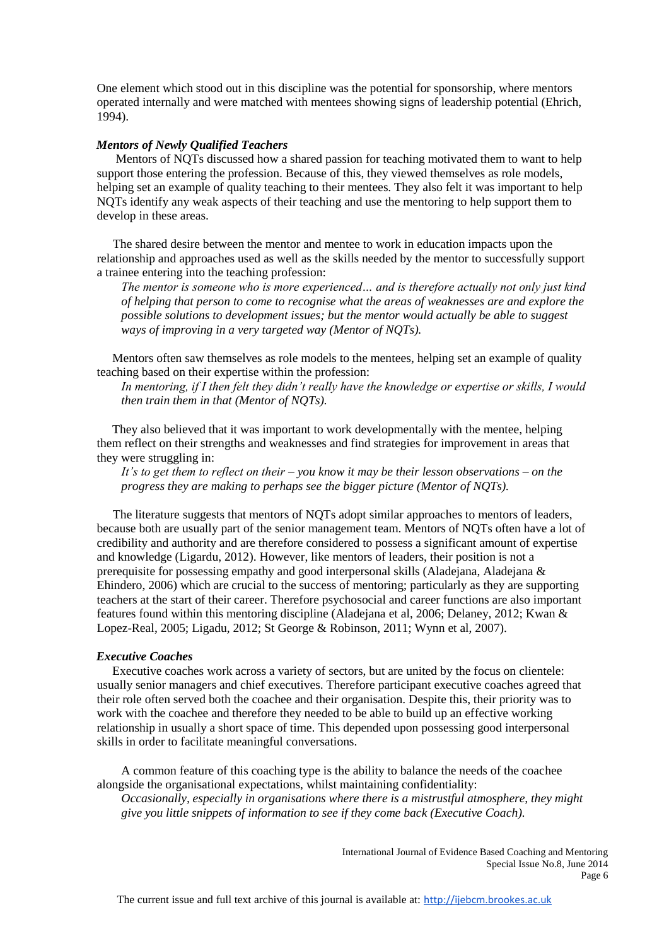One element which stood out in this discipline was the potential for sponsorship, where mentors operated internally and were matched with mentees showing signs of leadership potential (Ehrich, 1994).

#### *Mentors of Newly Qualified Teachers*

Mentors of NQTs discussed how a shared passion for teaching motivated them to want to help support those entering the profession. Because of this, they viewed themselves as role models, helping set an example of quality teaching to their mentees. They also felt it was important to help NQTs identify any weak aspects of their teaching and use the mentoring to help support them to develop in these areas.

The shared desire between the mentor and mentee to work in education impacts upon the relationship and approaches used as well as the skills needed by the mentor to successfully support a trainee entering into the teaching profession:

*The mentor is someone who is more experienced… and is therefore actually not only just kind of helping that person to come to recognise what the areas of weaknesses are and explore the possible solutions to development issues; but the mentor would actually be able to suggest ways of improving in a very targeted way (Mentor of NQTs).*

 Mentors often saw themselves as role models to the mentees, helping set an example of quality teaching based on their expertise within the profession:

*In mentoring, if I then felt they didn't really have the knowledge or expertise or skills, I would then train them in that (Mentor of NQTs).*

 They also believed that it was important to work developmentally with the mentee, helping them reflect on their strengths and weaknesses and find strategies for improvement in areas that they were struggling in:

*It's to get them to reflect on their – you know it may be their lesson observations – on the progress they are making to perhaps see the bigger picture (Mentor of NQTs).*

The literature suggests that mentors of NQTs adopt similar approaches to mentors of leaders, because both are usually part of the senior management team. Mentors of NQTs often have a lot of credibility and authority and are therefore considered to possess a significant amount of expertise and knowledge (Ligardu, 2012). However, like mentors of leaders, their position is not a prerequisite for possessing empathy and good interpersonal skills (Aladejana, Aladejana & Ehindero, 2006) which are crucial to the success of mentoring; particularly as they are supporting teachers at the start of their career. Therefore psychosocial and career functions are also important features found within this mentoring discipline (Aladejana et al, 2006; Delaney, 2012; Kwan & Lopez-Real, 2005; Ligadu, 2012; St George & Robinson, 2011; Wynn et al, 2007).

#### *Executive Coaches*

 Executive coaches work across a variety of sectors, but are united by the focus on clientele: usually senior managers and chief executives. Therefore participant executive coaches agreed that their role often served both the coachee and their organisation. Despite this, their priority was to work with the coachee and therefore they needed to be able to build up an effective working relationship in usually a short space of time. This depended upon possessing good interpersonal skills in order to facilitate meaningful conversations.

A common feature of this coaching type is the ability to balance the needs of the coachee alongside the organisational expectations, whilst maintaining confidentiality: *Occasionally, especially in organisations where there is a mistrustful atmosphere, they might* 

*give you little snippets of information to see if they come back (Executive Coach).*

International Journal of Evidence Based Coaching and Mentoring Special Issue No.8, June 2014 Page 6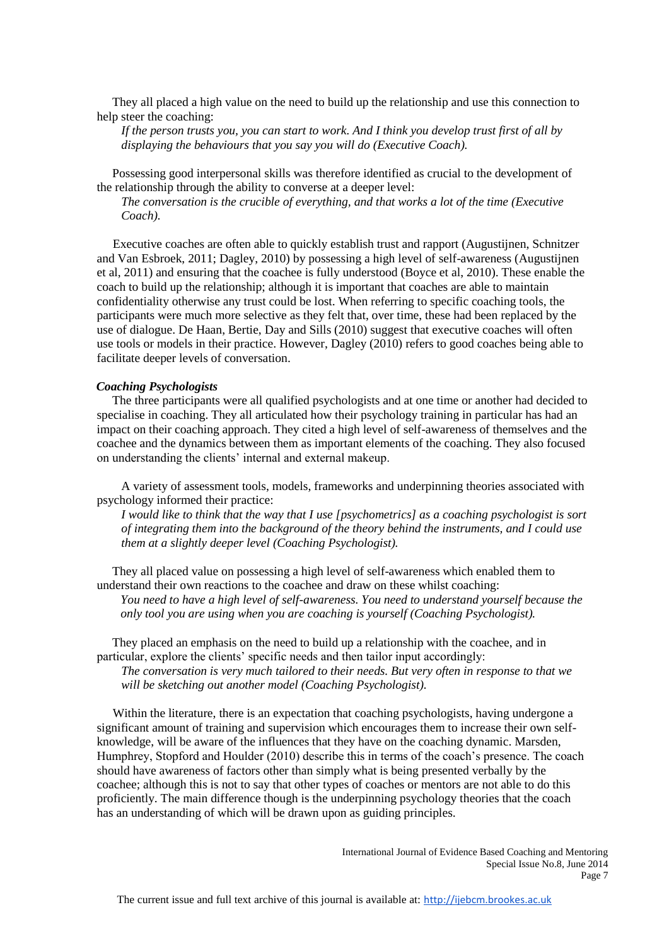They all placed a high value on the need to build up the relationship and use this connection to help steer the coaching:

*If the person trusts you, you can start to work. And I think you develop trust first of all by displaying the behaviours that you say you will do (Executive Coach).*

 Possessing good interpersonal skills was therefore identified as crucial to the development of the relationship through the ability to converse at a deeper level:

*The conversation is the crucible of everything, and that works a lot of the time (Executive Coach).*

Executive coaches are often able to quickly establish trust and rapport (Augustijnen, Schnitzer and Van Esbroek, 2011; Dagley, 2010) by possessing a high level of self-awareness (Augustijnen et al, 2011) and ensuring that the coachee is fully understood (Boyce et al, 2010). These enable the coach to build up the relationship; although it is important that coaches are able to maintain confidentiality otherwise any trust could be lost. When referring to specific coaching tools, the participants were much more selective as they felt that, over time, these had been replaced by the use of dialogue. De Haan, Bertie, Day and Sills (2010) suggest that executive coaches will often use tools or models in their practice. However, Dagley (2010) refers to good coaches being able to facilitate deeper levels of conversation.

#### *Coaching Psychologists*

 The three participants were all qualified psychologists and at one time or another had decided to specialise in coaching. They all articulated how their psychology training in particular has had an impact on their coaching approach. They cited a high level of self-awareness of themselves and the coachee and the dynamics between them as important elements of the coaching. They also focused on understanding the clients' internal and external makeup.

A variety of assessment tools, models, frameworks and underpinning theories associated with psychology informed their practice:

*I would like to think that the way that I use [psychometrics] as a coaching psychologist is sort of integrating them into the background of the theory behind the instruments, and I could use them at a slightly deeper level (Coaching Psychologist).*

 They all placed value on possessing a high level of self-awareness which enabled them to understand their own reactions to the coachee and draw on these whilst coaching:

*You need to have a high level of self-awareness. You need to understand yourself because the only tool you are using when you are coaching is yourself (Coaching Psychologist).*

 They placed an emphasis on the need to build up a relationship with the coachee, and in particular, explore the clients' specific needs and then tailor input accordingly:

*The conversation is very much tailored to their needs. But very often in response to that we will be sketching out another model (Coaching Psychologist).*

Within the literature, there is an expectation that coaching psychologists, having undergone a significant amount of training and supervision which encourages them to increase their own selfknowledge, will be aware of the influences that they have on the coaching dynamic. Marsden, Humphrey, Stopford and Houlder (2010) describe this in terms of the coach's presence. The coach should have awareness of factors other than simply what is being presented verbally by the coachee; although this is not to say that other types of coaches or mentors are not able to do this proficiently. The main difference though is the underpinning psychology theories that the coach has an understanding of which will be drawn upon as guiding principles.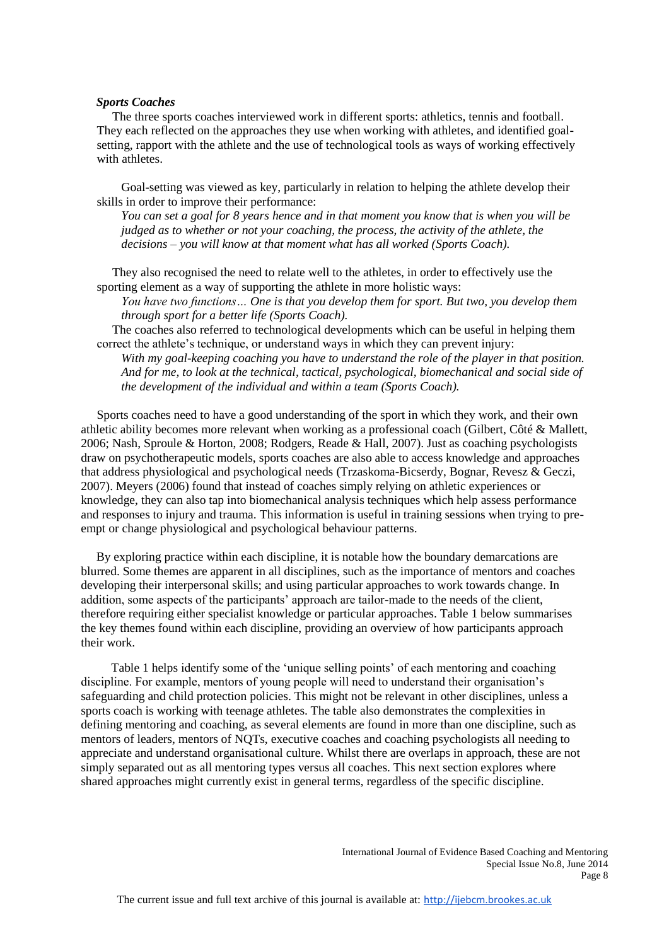#### *Sports Coaches*

 The three sports coaches interviewed work in different sports: athletics, tennis and football. They each reflected on the approaches they use when working with athletes, and identified goalsetting, rapport with the athlete and the use of technological tools as ways of working effectively with athletes.

Goal-setting was viewed as key, particularly in relation to helping the athlete develop their skills in order to improve their performance:

*You can set a goal for 8 years hence and in that moment you know that is when you will be judged as to whether or not your coaching, the process, the activity of the athlete, the decisions – you will know at that moment what has all worked (Sports Coach).*

 They also recognised the need to relate well to the athletes, in order to effectively use the sporting element as a way of supporting the athlete in more holistic ways:

*You have two functions… One is that you develop them for sport. But two, you develop them through sport for a better life (Sports Coach).*

 The coaches also referred to technological developments which can be useful in helping them correct the athlete's technique, or understand ways in which they can prevent injury:

*With my goal-keeping coaching you have to understand the role of the player in that position. And for me, to look at the technical, tactical, psychological, biomechanical and social side of the development of the individual and within a team (Sports Coach).*

Sports coaches need to have a good understanding of the sport in which they work, and their own athletic ability becomes more relevant when working as a professional coach (Gilbert, Côté & Mallett, 2006; Nash, Sproule & Horton, 2008; Rodgers, Reade & Hall, 2007). Just as coaching psychologists draw on psychotherapeutic models, sports coaches are also able to access knowledge and approaches that address physiological and psychological needs (Trzaskoma-Bicserdy, Bognar, Revesz & Geczi, 2007). Meyers (2006) found that instead of coaches simply relying on athletic experiences or knowledge, they can also tap into biomechanical analysis techniques which help assess performance and responses to injury and trauma. This information is useful in training sessions when trying to preempt or change physiological and psychological behaviour patterns.

 By exploring practice within each discipline, it is notable how the boundary demarcations are blurred. Some themes are apparent in all disciplines, such as the importance of mentors and coaches developing their interpersonal skills; and using particular approaches to work towards change. In addition, some aspects of the participants' approach are tailor-made to the needs of the client, therefore requiring either specialist knowledge or particular approaches. Table 1 below summarises the key themes found within each discipline, providing an overview of how participants approach their work.

Table 1 helps identify some of the 'unique selling points' of each mentoring and coaching discipline. For example, mentors of young people will need to understand their organisation's safeguarding and child protection policies. This might not be relevant in other disciplines, unless a sports coach is working with teenage athletes. The table also demonstrates the complexities in defining mentoring and coaching, as several elements are found in more than one discipline, such as mentors of leaders, mentors of NQTs, executive coaches and coaching psychologists all needing to appreciate and understand organisational culture. Whilst there are overlaps in approach, these are not simply separated out as all mentoring types versus all coaches. This next section explores where shared approaches might currently exist in general terms, regardless of the specific discipline.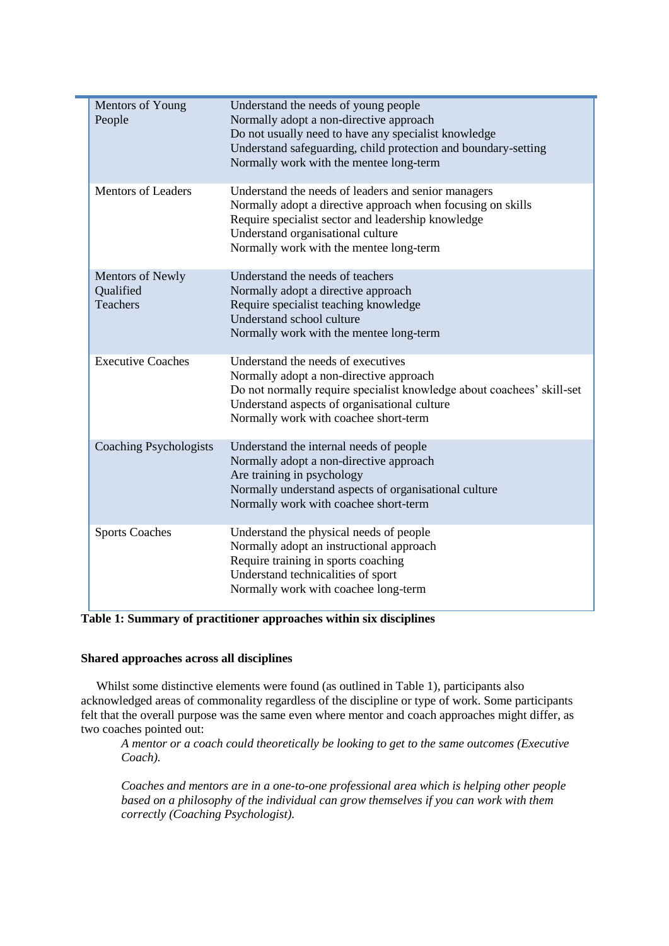| Mentors of Young<br>People                              | Understand the needs of young people<br>Normally adopt a non-directive approach<br>Do not usually need to have any specialist knowledge<br>Understand safeguarding, child protection and boundary-setting<br>Normally work with the mentee long-term     |
|---------------------------------------------------------|----------------------------------------------------------------------------------------------------------------------------------------------------------------------------------------------------------------------------------------------------------|
| <b>Mentors of Leaders</b>                               | Understand the needs of leaders and senior managers<br>Normally adopt a directive approach when focusing on skills<br>Require specialist sector and leadership knowledge<br>Understand organisational culture<br>Normally work with the mentee long-term |
| <b>Mentors of Newly</b><br>Qualified<br><b>Teachers</b> | Understand the needs of teachers<br>Normally adopt a directive approach<br>Require specialist teaching knowledge<br>Understand school culture<br>Normally work with the mentee long-term                                                                 |
| <b>Executive Coaches</b>                                | Understand the needs of executives<br>Normally adopt a non-directive approach<br>Do not normally require specialist knowledge about coachees' skill-set<br>Understand aspects of organisational culture<br>Normally work with coachee short-term         |
| Coaching Psychologists                                  | Understand the internal needs of people<br>Normally adopt a non-directive approach<br>Are training in psychology<br>Normally understand aspects of organisational culture<br>Normally work with coachee short-term                                       |
| <b>Sports Coaches</b>                                   | Understand the physical needs of people<br>Normally adopt an instructional approach<br>Require training in sports coaching<br>Understand technicalities of sport<br>Normally work with coachee long-term                                                 |

**Table 1: Summary of practitioner approaches within six disciplines**

# **Shared approaches across all disciplines**

**COL** 

 Whilst some distinctive elements were found (as outlined in Table 1), participants also acknowledged areas of commonality regardless of the discipline or type of work. Some participants felt that the overall purpose was the same even where mentor and coach approaches might differ, as two coaches pointed out:

*A mentor or a coach could theoretically be looking to get to the same outcomes (Executive Coach).*

*Coaches and mentors are in a one-to-one professional area which is helping other people based on a philosophy of the individual can grow themselves if you can work with them correctly (Coaching Psychologist).*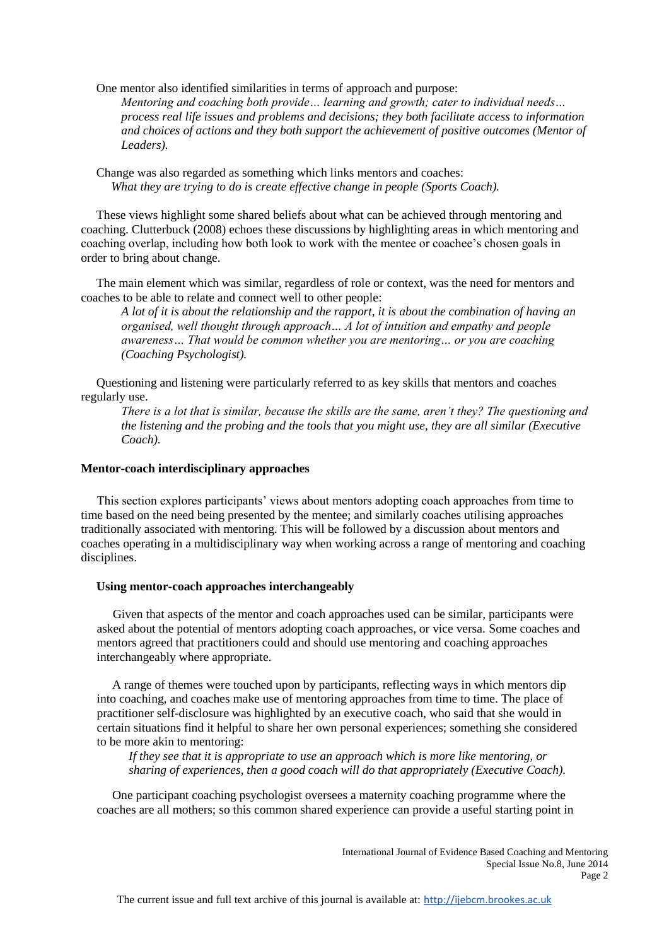One mentor also identified similarities in terms of approach and purpose:

*Mentoring and coaching both provide… learning and growth; cater to individual needs… process real life issues and problems and decisions; they both facilitate access to information and choices of actions and they both support the achievement of positive outcomes (Mentor of Leaders).*

 Change was also regarded as something which links mentors and coaches: *What they are trying to do is create effective change in people (Sports Coach).*

 These views highlight some shared beliefs about what can be achieved through mentoring and coaching. Clutterbuck (2008) echoes these discussions by highlighting areas in which mentoring and coaching overlap, including how both look to work with the mentee or coachee's chosen goals in order to bring about change.

 The main element which was similar, regardless of role or context, was the need for mentors and coaches to be able to relate and connect well to other people:

*A lot of it is about the relationship and the rapport, it is about the combination of having an organised, well thought through approach… A lot of intuition and empathy and people awareness… That would be common whether you are mentoring… or you are coaching (Coaching Psychologist).*

 Questioning and listening were particularly referred to as key skills that mentors and coaches regularly use.

*There is a lot that is similar, because the skills are the same, aren't they? The questioning and the listening and the probing and the tools that you might use, they are all similar (Executive Coach).*

## **Mentor-coach interdisciplinary approaches**

This section explores participants' views about mentors adopting coach approaches from time to time based on the need being presented by the mentee; and similarly coaches utilising approaches traditionally associated with mentoring. This will be followed by a discussion about mentors and coaches operating in a multidisciplinary way when working across a range of mentoring and coaching disciplines.

## **Using mentor-coach approaches interchangeably**

Given that aspects of the mentor and coach approaches used can be similar, participants were asked about the potential of mentors adopting coach approaches, or vice versa. Some coaches and mentors agreed that practitioners could and should use mentoring and coaching approaches interchangeably where appropriate.

 A range of themes were touched upon by participants, reflecting ways in which mentors dip into coaching, and coaches make use of mentoring approaches from time to time. The place of practitioner self-disclosure was highlighted by an executive coach, who said that she would in certain situations find it helpful to share her own personal experiences; something she considered to be more akin to mentoring:

*If they see that it is appropriate to use an approach which is more like mentoring, or sharing of experiences, then a good coach will do that appropriately (Executive Coach).*

 One participant coaching psychologist oversees a maternity coaching programme where the coaches are all mothers; so this common shared experience can provide a useful starting point in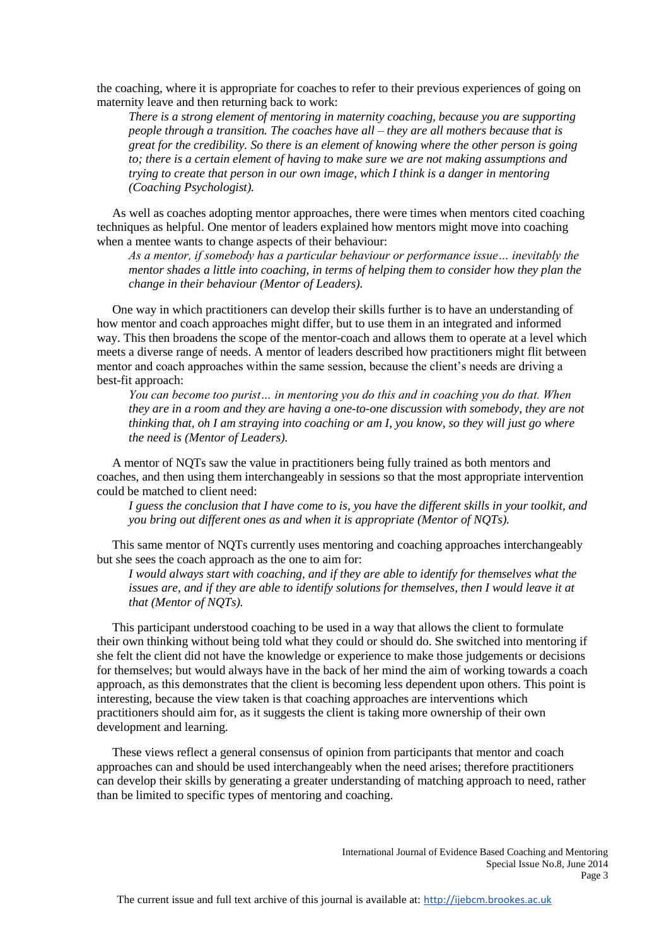the coaching, where it is appropriate for coaches to refer to their previous experiences of going on maternity leave and then returning back to work:

*There is a strong element of mentoring in maternity coaching, because you are supporting people through a transition. The coaches have all – they are all mothers because that is great for the credibility. So there is an element of knowing where the other person is going to; there is a certain element of having to make sure we are not making assumptions and trying to create that person in our own image, which I think is a danger in mentoring (Coaching Psychologist).*

 As well as coaches adopting mentor approaches, there were times when mentors cited coaching techniques as helpful. One mentor of leaders explained how mentors might move into coaching when a mentee wants to change aspects of their behaviour:

*As a mentor, if somebody has a particular behaviour or performance issue… inevitably the mentor shades a little into coaching, in terms of helping them to consider how they plan the change in their behaviour (Mentor of Leaders).*

 One way in which practitioners can develop their skills further is to have an understanding of how mentor and coach approaches might differ, but to use them in an integrated and informed way. This then broadens the scope of the mentor-coach and allows them to operate at a level which meets a diverse range of needs. A mentor of leaders described how practitioners might flit between mentor and coach approaches within the same session, because the client's needs are driving a best-fit approach:

*You can become too purist… in mentoring you do this and in coaching you do that. When they are in a room and they are having a one-to-one discussion with somebody, they are not thinking that, oh I am straying into coaching or am I, you know, so they will just go where the need is (Mentor of Leaders).*

 A mentor of NQTs saw the value in practitioners being fully trained as both mentors and coaches, and then using them interchangeably in sessions so that the most appropriate intervention could be matched to client need:

*I guess the conclusion that I have come to is, you have the different skills in your toolkit, and you bring out different ones as and when it is appropriate (Mentor of NQTs).*

 This same mentor of NQTs currently uses mentoring and coaching approaches interchangeably but she sees the coach approach as the one to aim for:

*I would always start with coaching, and if they are able to identify for themselves what the*  issues are, and if they are able to identify solutions for themselves, then I would leave it at *that (Mentor of NQTs).*

 This participant understood coaching to be used in a way that allows the client to formulate their own thinking without being told what they could or should do. She switched into mentoring if she felt the client did not have the knowledge or experience to make those judgements or decisions for themselves; but would always have in the back of her mind the aim of working towards a coach approach, as this demonstrates that the client is becoming less dependent upon others. This point is interesting, because the view taken is that coaching approaches are interventions which practitioners should aim for, as it suggests the client is taking more ownership of their own development and learning.

 These views reflect a general consensus of opinion from participants that mentor and coach approaches can and should be used interchangeably when the need arises; therefore practitioners can develop their skills by generating a greater understanding of matching approach to need, rather than be limited to specific types of mentoring and coaching.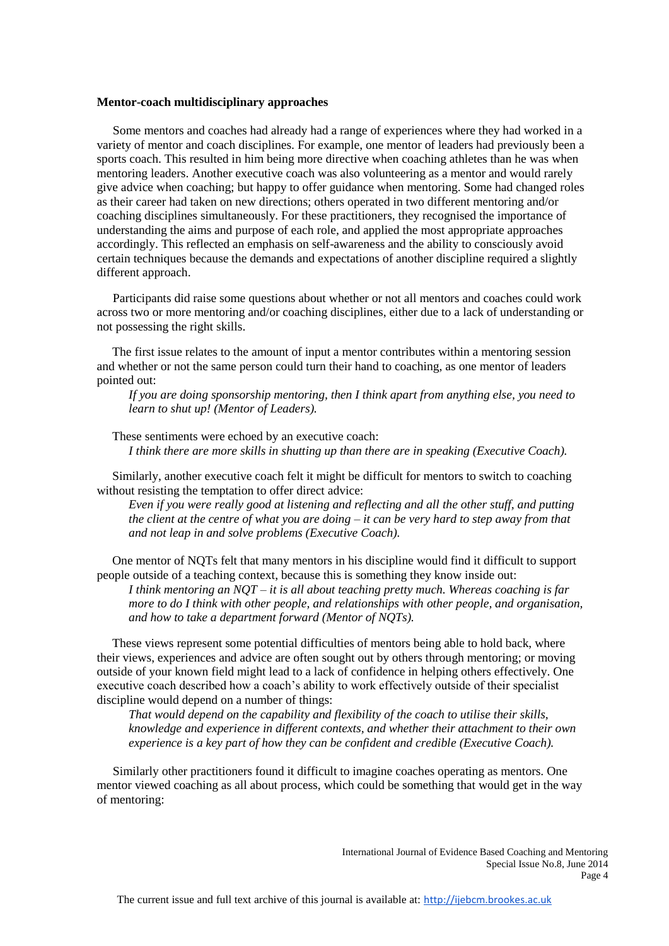#### **Mentor-coach multidisciplinary approaches**

Some mentors and coaches had already had a range of experiences where they had worked in a variety of mentor and coach disciplines. For example, one mentor of leaders had previously been a sports coach. This resulted in him being more directive when coaching athletes than he was when mentoring leaders. Another executive coach was also volunteering as a mentor and would rarely give advice when coaching; but happy to offer guidance when mentoring. Some had changed roles as their career had taken on new directions; others operated in two different mentoring and/or coaching disciplines simultaneously. For these practitioners, they recognised the importance of understanding the aims and purpose of each role, and applied the most appropriate approaches accordingly. This reflected an emphasis on self-awareness and the ability to consciously avoid certain techniques because the demands and expectations of another discipline required a slightly different approach.

Participants did raise some questions about whether or not all mentors and coaches could work across two or more mentoring and/or coaching disciplines, either due to a lack of understanding or not possessing the right skills.

 The first issue relates to the amount of input a mentor contributes within a mentoring session and whether or not the same person could turn their hand to coaching, as one mentor of leaders pointed out:

*If you are doing sponsorship mentoring, then I think apart from anything else, you need to learn to shut up! (Mentor of Leaders).*

 These sentiments were echoed by an executive coach: *I think there are more skills in shutting up than there are in speaking (Executive Coach).*

 Similarly, another executive coach felt it might be difficult for mentors to switch to coaching without resisting the temptation to offer direct advice:

*Even if you were really good at listening and reflecting and all the other stuff, and putting the client at the centre of what you are doing – it can be very hard to step away from that and not leap in and solve problems (Executive Coach).*

 One mentor of NQTs felt that many mentors in his discipline would find it difficult to support people outside of a teaching context, because this is something they know inside out:

*I think mentoring an NQT – it is all about teaching pretty much. Whereas coaching is far more to do I think with other people, and relationships with other people, and organisation, and how to take a department forward (Mentor of NQTs).*

 These views represent some potential difficulties of mentors being able to hold back, where their views, experiences and advice are often sought out by others through mentoring; or moving outside of your known field might lead to a lack of confidence in helping others effectively. One executive coach described how a coach's ability to work effectively outside of their specialist discipline would depend on a number of things:

*That would depend on the capability and flexibility of the coach to utilise their skills, knowledge and experience in different contexts, and whether their attachment to their own experience is a key part of how they can be confident and credible (Executive Coach).*

Similarly other practitioners found it difficult to imagine coaches operating as mentors. One mentor viewed coaching as all about process, which could be something that would get in the way of mentoring: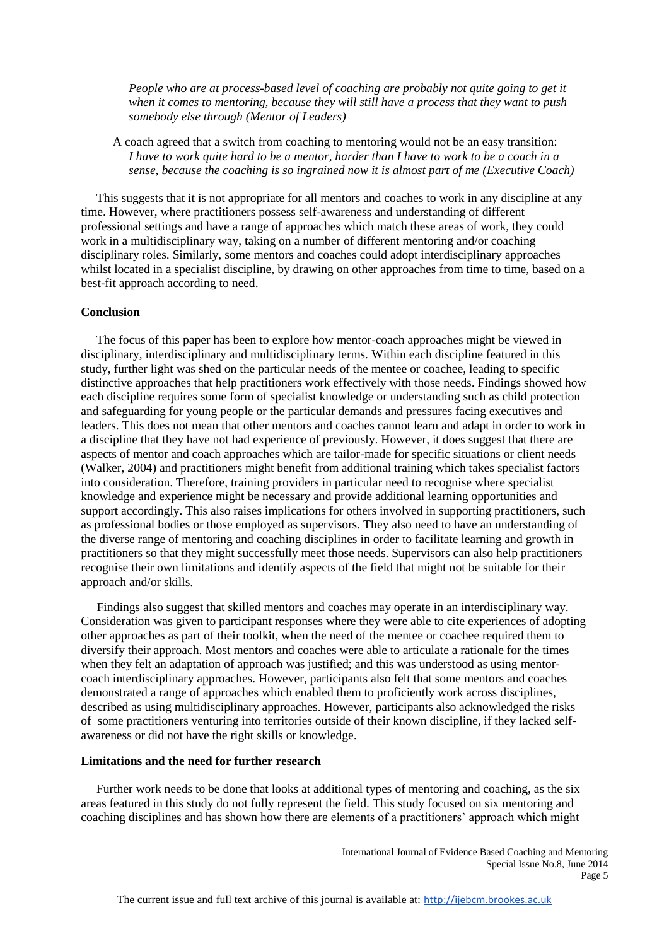*People who are at process-based level of coaching are probably not quite going to get it when it comes to mentoring, because they will still have a process that they want to push somebody else through (Mentor of Leaders)*

A coach agreed that a switch from coaching to mentoring would not be an easy transition: *I have to work quite hard to be a mentor, harder than I have to work to be a coach in a sense, because the coaching is so ingrained now it is almost part of me (Executive Coach)*

 This suggests that it is not appropriate for all mentors and coaches to work in any discipline at any time. However, where practitioners possess self-awareness and understanding of different professional settings and have a range of approaches which match these areas of work, they could work in a multidisciplinary way, taking on a number of different mentoring and/or coaching disciplinary roles. Similarly, some mentors and coaches could adopt interdisciplinary approaches whilst located in a specialist discipline, by drawing on other approaches from time to time, based on a best-fit approach according to need.

#### **Conclusion**

 The focus of this paper has been to explore how mentor-coach approaches might be viewed in disciplinary, interdisciplinary and multidisciplinary terms. Within each discipline featured in this study, further light was shed on the particular needs of the mentee or coachee, leading to specific distinctive approaches that help practitioners work effectively with those needs. Findings showed how each discipline requires some form of specialist knowledge or understanding such as child protection and safeguarding for young people or the particular demands and pressures facing executives and leaders. This does not mean that other mentors and coaches cannot learn and adapt in order to work in a discipline that they have not had experience of previously. However, it does suggest that there are aspects of mentor and coach approaches which are tailor-made for specific situations or client needs (Walker, 2004) and practitioners might benefit from additional training which takes specialist factors into consideration. Therefore, training providers in particular need to recognise where specialist knowledge and experience might be necessary and provide additional learning opportunities and support accordingly. This also raises implications for others involved in supporting practitioners, such as professional bodies or those employed as supervisors. They also need to have an understanding of the diverse range of mentoring and coaching disciplines in order to facilitate learning and growth in practitioners so that they might successfully meet those needs. Supervisors can also help practitioners recognise their own limitations and identify aspects of the field that might not be suitable for their approach and/or skills.

Findings also suggest that skilled mentors and coaches may operate in an interdisciplinary way. Consideration was given to participant responses where they were able to cite experiences of adopting other approaches as part of their toolkit, when the need of the mentee or coachee required them to diversify their approach. Most mentors and coaches were able to articulate a rationale for the times when they felt an adaptation of approach was justified; and this was understood as using mentorcoach interdisciplinary approaches. However, participants also felt that some mentors and coaches demonstrated a range of approaches which enabled them to proficiently work across disciplines, described as using multidisciplinary approaches. However, participants also acknowledged the risks of some practitioners venturing into territories outside of their known discipline, if they lacked selfawareness or did not have the right skills or knowledge.

# **Limitations and the need for further research**

 Further work needs to be done that looks at additional types of mentoring and coaching, as the six areas featured in this study do not fully represent the field. This study focused on six mentoring and coaching disciplines and has shown how there are elements of a practitioners' approach which might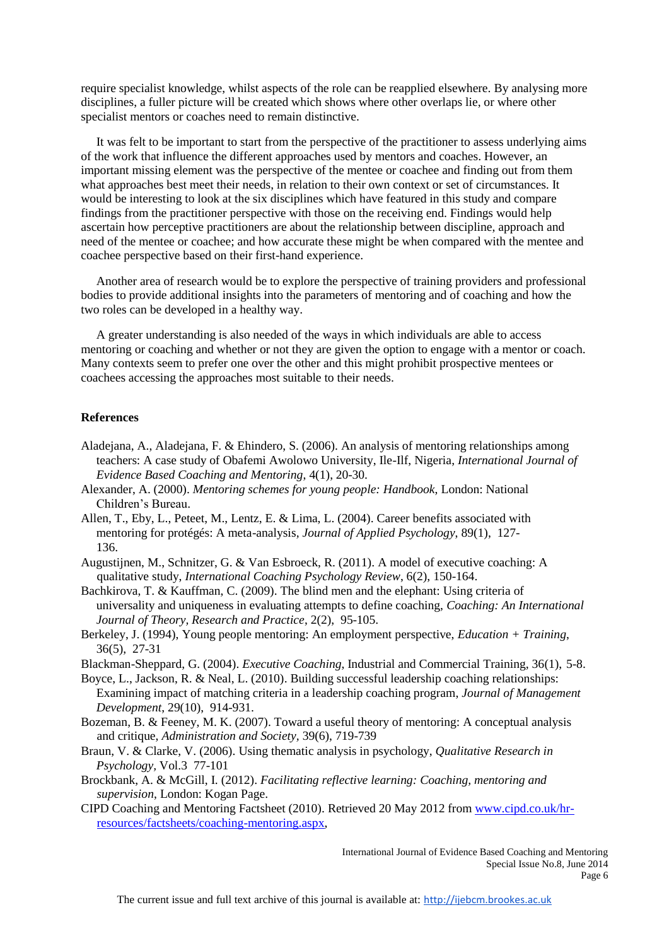require specialist knowledge, whilst aspects of the role can be reapplied elsewhere. By analysing more disciplines, a fuller picture will be created which shows where other overlaps lie, or where other specialist mentors or coaches need to remain distinctive.

 It was felt to be important to start from the perspective of the practitioner to assess underlying aims of the work that influence the different approaches used by mentors and coaches. However, an important missing element was the perspective of the mentee or coachee and finding out from them what approaches best meet their needs, in relation to their own context or set of circumstances. It would be interesting to look at the six disciplines which have featured in this study and compare findings from the practitioner perspective with those on the receiving end. Findings would help ascertain how perceptive practitioners are about the relationship between discipline, approach and need of the mentee or coachee; and how accurate these might be when compared with the mentee and coachee perspective based on their first-hand experience.

 Another area of research would be to explore the perspective of training providers and professional bodies to provide additional insights into the parameters of mentoring and of coaching and how the two roles can be developed in a healthy way.

 A greater understanding is also needed of the ways in which individuals are able to access mentoring or coaching and whether or not they are given the option to engage with a mentor or coach. Many contexts seem to prefer one over the other and this might prohibit prospective mentees or coachees accessing the approaches most suitable to their needs.

#### **References**

- Aladejana, A., Aladejana, F. & Ehindero, S. (2006). An analysis of mentoring relationships among teachers: A case study of Obafemi Awolowo University, Ile-Ilf, Nigeria, *International Journal of Evidence Based Coaching and Mentoring*, 4(1), 20-30.
- Alexander, A. (2000). *Mentoring schemes for young people: Handbook*, London: National Children's Bureau.
- Allen, T., Eby, L., Peteet, M., Lentz, E. & Lima, L. (2004). Career benefits associated with mentoring for protégés: A meta-analysis*, Journal of Applied Psychology*, 89(1), 127- 136.
- Augustijnen, M., Schnitzer, G. & Van Esbroeck, R. (2011). A model of executive coaching: A qualitative study, *International Coaching Psychology Review*, 6(2), 150-164.
- Bachkirova, T. & Kauffman, C. (2009). The blind men and the elephant: Using criteria of universality and uniqueness in evaluating attempts to define coaching, *Coaching: An International Journal of Theory, Research and Practice*, 2(2), 95-105.
- Berkeley, J. (1994), Young people mentoring: An employment perspective, *Education + Training*, 36(5), 27-31

Blackman-Sheppard, G. (2004). *Executive Coaching*, Industrial and Commercial Training, 36(1), 5-8.

- Boyce, L., Jackson, R. & Neal, L. (2010). Building successful leadership coaching relationships: Examining impact of matching criteria in a leadership coaching program, *Journal of Management Development*, 29(10), 914-931.
- Bozeman, B. & Feeney, M. K. (2007). Toward a useful theory of mentoring: A conceptual analysis and critique, *Administration and Society,* 39(6), 719-739
- Braun, V. & Clarke, V. (2006). Using thematic analysis in psychology, *Qualitative Research in Psychology,* Vol.3 77-101
- Brockbank, A. & McGill, I. (2012). *Facilitating reflective learning: Coaching, mentoring and supervision*, London: Kogan Page.
- CIPD Coaching and Mentoring Factsheet (2010). Retrieved 20 May 2012 fro[m www.cipd.co.uk/hr](http://www.cipd.co.uk/hr-resources/factsheets/coaching-mentoring.aspx)[resources/factsheets/coaching-mentoring.aspx,](http://www.cipd.co.uk/hr-resources/factsheets/coaching-mentoring.aspx)

International Journal of Evidence Based Coaching and Mentoring Special Issue No.8, June 2014 Page 6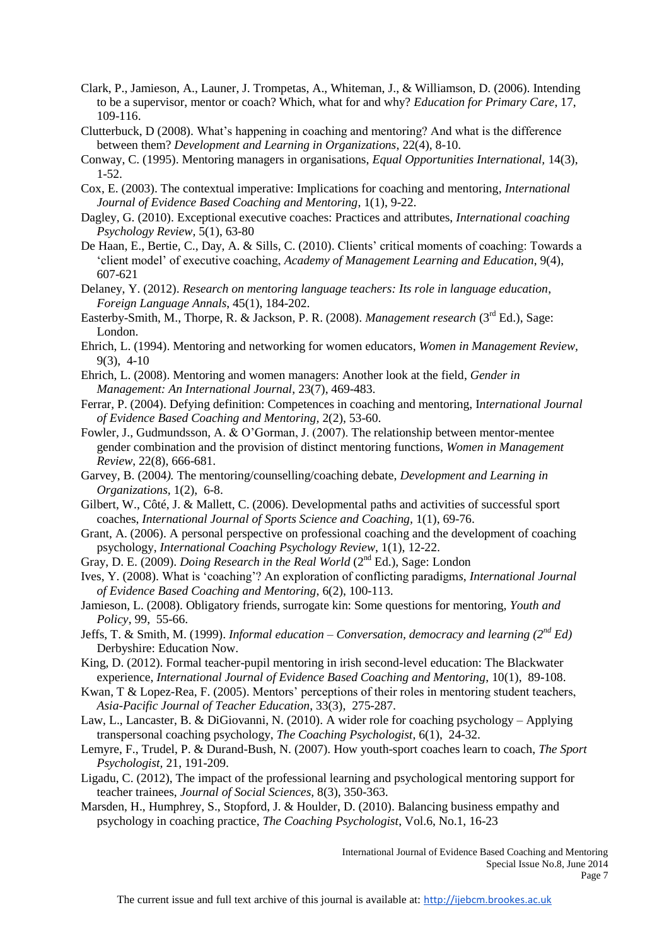- Clark, P., Jamieson, A., Launer, J. Trompetas, A., Whiteman, J., & Williamson, D. (2006). Intending to be a supervisor, mentor or coach? Which, what for and why? *Education for Primary Care*, 17, 109-116.
- Clutterbuck, D (2008). What's happening in coaching and mentoring? And what is the difference between them? *Development and Learning in Organizations*, 22(4), 8-10.
- Conway, C. (1995). Mentoring managers in organisations, *Equal Opportunities International,* 14(3), 1-52.
- Cox, E. (2003). The contextual imperative: Implications for coaching and mentoring, *International Journal of Evidence Based Coaching and Mentoring*, 1(1), 9-22.
- Dagley, G. (2010). Exceptional executive coaches: Practices and attributes, *International coaching Psychology Review,* 5(1), 63-80
- De Haan, E., Bertie, C., Day, A. & Sills, C. (2010). Clients' critical moments of coaching: Towards a 'client model' of executive coaching, *Academy of Management Learning and Education*, 9(4), 607-621
- Delaney, Y. (2012). *Research on mentoring language teachers: Its role in language education*, *Foreign Language Annals*, 45(1), 184-202.
- Easterby-Smith, M., Thorpe, R. & Jackson, P. R. (2008). *Management research* (3rd Ed.), Sage: London.
- Ehrich, L. (1994). Mentoring and networking for women educators, *Women in Management Review,* 9(3), 4-10
- Ehrich, L. (2008). Mentoring and women managers: Another look at the field, *Gender in Management: An International Journal*, 23(7), 469-483.
- Ferrar, P. (2004). Defying definition: Competences in coaching and mentoring, I*nternational Journal of Evidence Based Coaching and Mentoring,* 2(2), 53-60.
- Fowler, J., Gudmundsson, A. & O'Gorman, J. (2007). The relationship between mentor-mentee gender combination and the provision of distinct mentoring functions, *Women in Management Review*, 22(8), 666-681.
- Garvey, B. (2004*).* The mentoring/counselling/coaching debate, *Development and Learning in Organizations,* 1(2), 6-8.
- Gilbert, W., Côté, J. & Mallett, C. (2006). Developmental paths and activities of successful sport coaches, *International Journal of Sports Science and Coaching,* 1(1), 69-76.
- Grant, A. (2006). A personal perspective on professional coaching and the development of coaching psychology, *International Coaching Psychology Review*, 1(1), 12-22.
- Gray, D. E. (2009). *Doing Research in the Real World* (2<sup>nd</sup> Ed.), Sage: London
- Ives, Y. (2008). What is 'coaching'? An exploration of conflicting paradigm*s*, *International Journal of Evidence Based Coaching and Mentoring*, 6(2), 100-113.
- Jamieson, L. (2008). Obligatory friends, surrogate kin: Some questions for mentoring, *Youth and Policy*, 99, 55-66.
- Jeffs, T. & Smith, M. (1999). *Informal education – Conversation, democracy and learning (2 nd Ed)* Derbyshire: Education Now.
- King, D. (2012). Formal teacher-pupil mentoring in irish second-level education: The Blackwater experience, *International Journal of Evidence Based Coaching and Mentoring*, 10(1), 89-108.
- Kwan, T & Lopez-Rea, F. (2005). Mentors' perceptions of their roles in mentoring student teachers, *Asia-Pacific Journal of Teacher Education*, 33(3), 275-287.
- Law, L., Lancaster, B. & DiGiovanni, N. (2010). A wider role for coaching psychology Applying transpersonal coaching psychology, *The Coaching Psychologist*, 6(1), 24-32.
- Lemyre, F., Trudel, P. & Durand-Bush, N. (2007). How youth-sport coaches learn to coach, *The Sport Psychologist,* 21, 191-209.
- Ligadu, C. (2012), The impact of the professional learning and psychological mentoring support for teacher trainees, *Journal of Social Sciences,* 8(3), 350-363.
- Marsden, H., Humphrey, S., Stopford, J. & Houlder, D. (2010). Balancing business empathy and psychology in coaching practice, *The Coaching Psychologist*, Vol.6, No.1, 16-23